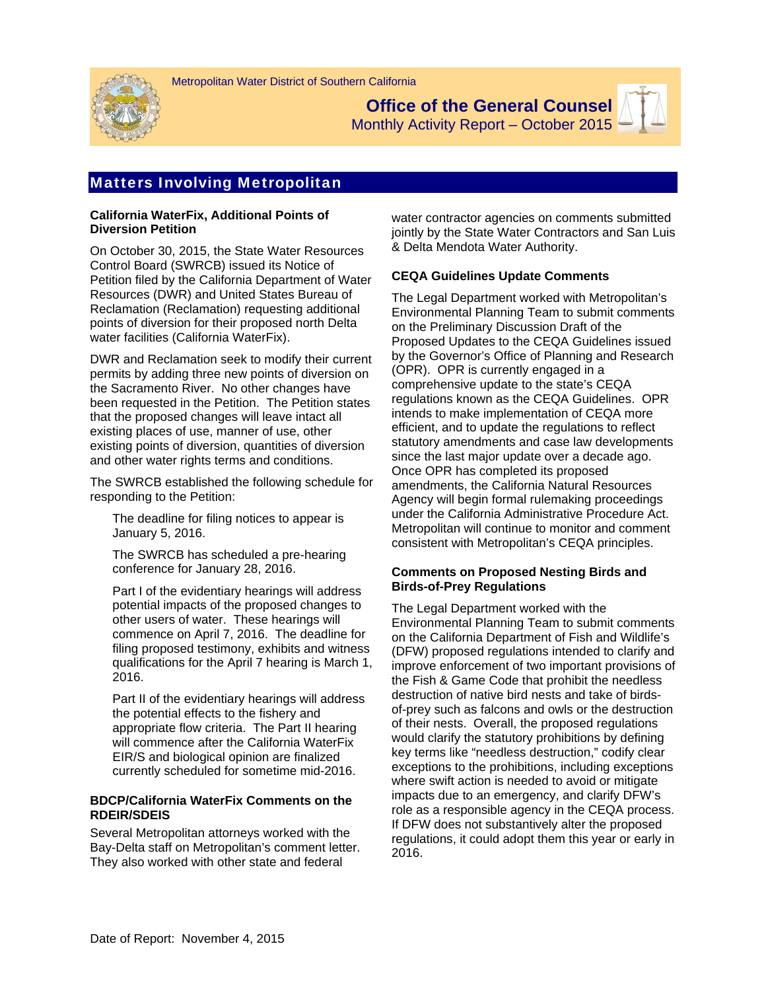



**Office of the General Counsel** 

Monthly Activity Report – October 2015

# Matters Involving Metropolitan

### **California WaterFix, Additional Points of Diversion Petition**

On October 30, 2015, the State Water Resources Control Board (SWRCB) issued its Notice of Petition filed by the California Department of Water Resources (DWR) and United States Bureau of Reclamation (Reclamation) requesting additional points of diversion for their proposed north Delta water facilities (California WaterFix).

DWR and Reclamation seek to modify their current permits by adding three new points of diversion on the Sacramento River. No other changes have been requested in the Petition. The Petition states that the proposed changes will leave intact all existing places of use, manner of use, other existing points of diversion, quantities of diversion and other water rights terms and conditions.

The SWRCB established the following schedule for responding to the Petition:

 The deadline for filing notices to appear is January 5, 2016.

 The SWRCB has scheduled a pre-hearing conference for January 28, 2016.

 Part I of the evidentiary hearings will address potential impacts of the proposed changes to other users of water. These hearings will commence on April 7, 2016. The deadline for filing proposed testimony, exhibits and witness qualifications for the April 7 hearing is March 1, 2016.

 Part II of the evidentiary hearings will address the potential effects to the fishery and appropriate flow criteria. The Part II hearing will commence after the California WaterFix EIR/S and biological opinion are finalized currently scheduled for sometime mid-2016.

## **BDCP/California WaterFix Comments on the RDEIR/SDEIS**

Several Metropolitan attorneys worked with the Bay-Delta staff on Metropolitan's comment letter. They also worked with other state and federal

water contractor agencies on comments submitted jointly by the State Water Contractors and San Luis & Delta Mendota Water Authority.

# **CEQA Guidelines Update Comments**

The Legal Department worked with Metropolitan's Environmental Planning Team to submit comments on the Preliminary Discussion Draft of the Proposed Updates to the CEQA Guidelines issued by the Governor's Office of Planning and Research (OPR). OPR is currently engaged in a comprehensive update to the state's CEQA regulations known as the CEQA Guidelines. OPR intends to make implementation of CEQA more efficient, and to update the regulations to reflect statutory amendments and case law developments since the last major update over a decade ago. Once OPR has completed its proposed amendments, the California Natural Resources Agency will begin formal rulemaking proceedings under the California Administrative Procedure Act. Metropolitan will continue to monitor and comment consistent with Metropolitan's CEQA principles.

## **Comments on Proposed Nesting Birds and Birds-of-Prey Regulations**

The Legal Department worked with the Environmental Planning Team to submit comments on the California Department of Fish and Wildlife's (DFW) proposed regulations intended to clarify and improve enforcement of two important provisions of the Fish & Game Code that prohibit the needless destruction of native bird nests and take of birdsof-prey such as falcons and owls or the destruction of their nests. Overall, the proposed regulations would clarify the statutory prohibitions by defining key terms like "needless destruction," codify clear exceptions to the prohibitions, including exceptions where swift action is needed to avoid or mitigate impacts due to an emergency, and clarify DFW's role as a responsible agency in the CEQA process. If DFW does not substantively alter the proposed regulations, it could adopt them this year or early in 2016.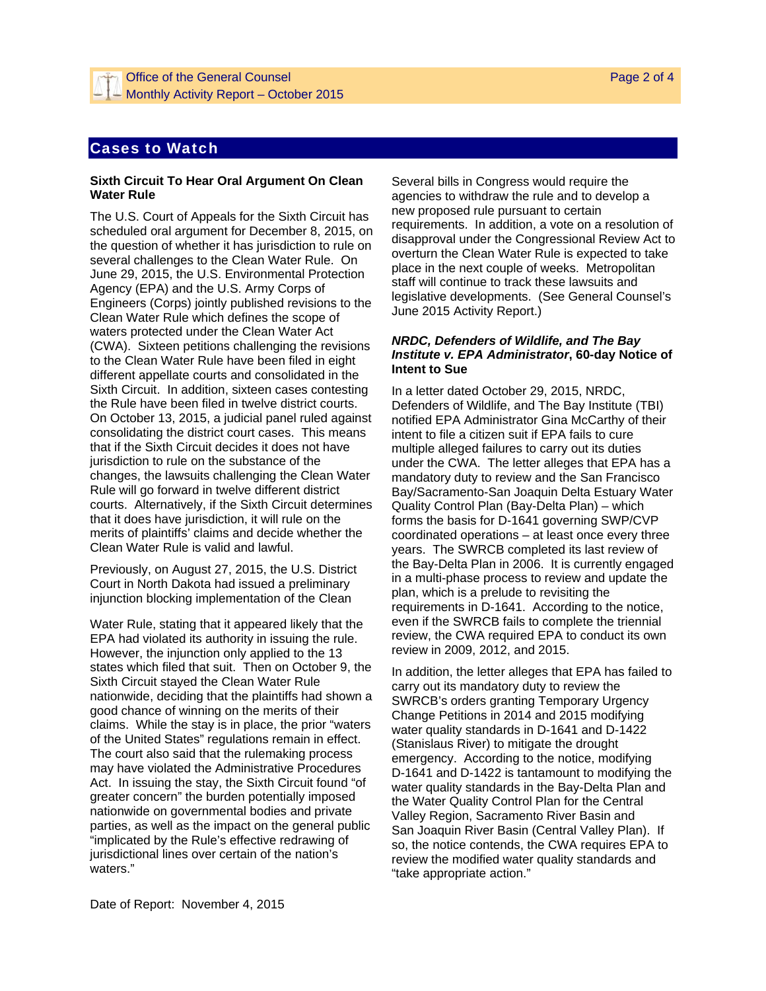# Cases to Watch

#### **Sixth Circuit To Hear Oral Argument On Clean Water Rule**

The U.S. Court of Appeals for the Sixth Circuit has scheduled oral argument for December 8, 2015, on the question of whether it has jurisdiction to rule on several challenges to the Clean Water Rule. On June 29, 2015, the U.S. Environmental Protection Agency (EPA) and the U.S. Army Corps of Engineers (Corps) jointly published revisions to the Clean Water Rule which defines the scope of waters protected under the Clean Water Act (CWA). Sixteen petitions challenging the revisions to the Clean Water Rule have been filed in eight different appellate courts and consolidated in the Sixth Circuit. In addition, sixteen cases contesting the Rule have been filed in twelve district courts. On October 13, 2015, a judicial panel ruled against consolidating the district court cases. This means that if the Sixth Circuit decides it does not have jurisdiction to rule on the substance of the changes, the lawsuits challenging the Clean Water Rule will go forward in twelve different district courts. Alternatively, if the Sixth Circuit determines that it does have jurisdiction, it will rule on the merits of plaintiffs' claims and decide whether the Clean Water Rule is valid and lawful.

Previously, on August 27, 2015, the U.S. District Court in North Dakota had issued a preliminary injunction blocking implementation of the Clean

Water Rule, stating that it appeared likely that the EPA had violated its authority in issuing the rule. However, the injunction only applied to the 13 states which filed that suit. Then on October 9, the Sixth Circuit stayed the Clean Water Rule nationwide, deciding that the plaintiffs had shown a good chance of winning on the merits of their claims. While the stay is in place, the prior "waters of the United States" regulations remain in effect. The court also said that the rulemaking process may have violated the Administrative Procedures Act. In issuing the stay, the Sixth Circuit found "of greater concern" the burden potentially imposed nationwide on governmental bodies and private parties, as well as the impact on the general public "implicated by the Rule's effective redrawing of jurisdictional lines over certain of the nation's waters."

Several bills in Congress would require the agencies to withdraw the rule and to develop a new proposed rule pursuant to certain requirements. In addition, a vote on a resolution of disapproval under the Congressional Review Act to overturn the Clean Water Rule is expected to take place in the next couple of weeks. Metropolitan staff will continue to track these lawsuits and legislative developments. (See General Counsel's June 2015 Activity Report.)

### *NRDC, Defenders of Wildlife, and The Bay Institute v. EPA Administrator***, 60-day Notice of Intent to Sue**

In a letter dated October 29, 2015, NRDC, Defenders of Wildlife, and The Bay Institute (TBI) notified EPA Administrator Gina McCarthy of their intent to file a citizen suit if EPA fails to cure multiple alleged failures to carry out its duties under the CWA. The letter alleges that EPA has a mandatory duty to review and the San Francisco Bay/Sacramento-San Joaquin Delta Estuary Water Quality Control Plan (Bay-Delta Plan) – which forms the basis for D-1641 governing SWP/CVP coordinated operations – at least once every three years. The SWRCB completed its last review of the Bay-Delta Plan in 2006. It is currently engaged in a multi-phase process to review and update the plan, which is a prelude to revisiting the requirements in D-1641. According to the notice, even if the SWRCB fails to complete the triennial review, the CWA required EPA to conduct its own review in 2009, 2012, and 2015.

In addition, the letter alleges that EPA has failed to carry out its mandatory duty to review the SWRCB's orders granting Temporary Urgency Change Petitions in 2014 and 2015 modifying water quality standards in D-1641 and D-1422 (Stanislaus River) to mitigate the drought emergency. According to the notice, modifying D-1641 and D-1422 is tantamount to modifying the water quality standards in the Bay-Delta Plan and the Water Quality Control Plan for the Central Valley Region, Sacramento River Basin and San Joaquin River Basin (Central Valley Plan). If so, the notice contends, the CWA requires EPA to review the modified water quality standards and "take appropriate action."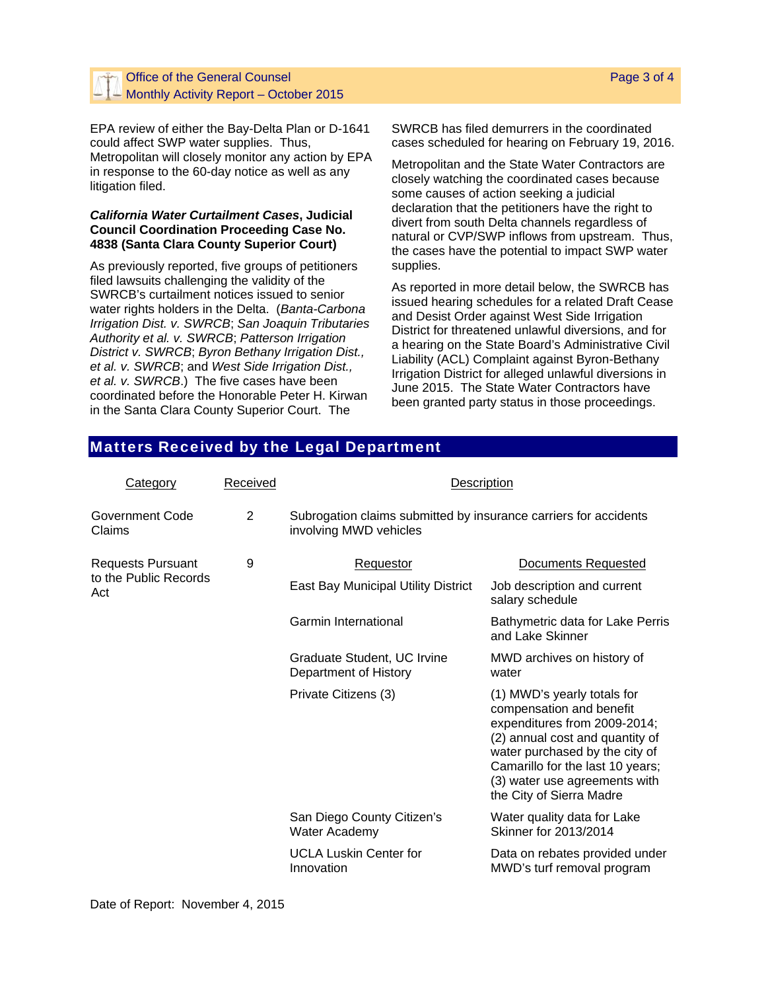## Office of the General Counsel Monthly Activity Report – October 2015

EPA review of either the Bay-Delta Plan or D-1641 could affect SWP water supplies. Thus, Metropolitan will closely monitor any action by EPA in response to the 60-day notice as well as any litigation filed.

### *California Water Curtailment Cases***, Judicial Council Coordination Proceeding Case No. 4838 (Santa Clara County Superior Court)**

As previously reported, five groups of petitioners filed lawsuits challenging the validity of the SWRCB's curtailment notices issued to senior water rights holders in the Delta. (*Banta-Carbona Irrigation Dist. v. SWRCB*; *San Joaquin Tributaries Authority et al. v. SWRCB*; *Patterson Irrigation District v. SWRCB*; *Byron Bethany Irrigation Dist., et al. v. SWRCB*; and *West Side Irrigation Dist., et al. v. SWRCB*.) The five cases have been coordinated before the Honorable Peter H. Kirwan in the Santa Clara County Superior Court. The

SWRCB has filed demurrers in the coordinated cases scheduled for hearing on February 19, 2016.

Metropolitan and the State Water Contractors are closely watching the coordinated cases because some causes of action seeking a judicial declaration that the petitioners have the right to divert from south Delta channels regardless of natural or CVP/SWP inflows from upstream. Thus, the cases have the potential to impact SWP water supplies.

As reported in more detail below, the SWRCB has issued hearing schedules for a related Draft Cease and Desist Order against West Side Irrigation District for threatened unlawful diversions, and for a hearing on the State Board's Administrative Civil Liability (ACL) Complaint against Byron-Bethany Irrigation District for alleged unlawful diversions in June 2015. The State Water Contractors have been granted party status in those proceedings.

# Matters Received by the Legal Department

| Category                                                 | Received | Description                                                                                |                                                                                                                                                                                                                                                               |
|----------------------------------------------------------|----------|--------------------------------------------------------------------------------------------|---------------------------------------------------------------------------------------------------------------------------------------------------------------------------------------------------------------------------------------------------------------|
| Government Code<br>Claims                                | 2        | Subrogation claims submitted by insurance carriers for accidents<br>involving MWD vehicles |                                                                                                                                                                                                                                                               |
| <b>Requests Pursuant</b><br>to the Public Records<br>Act | 9        | Requestor                                                                                  | <b>Documents Requested</b>                                                                                                                                                                                                                                    |
|                                                          |          | East Bay Municipal Utility District                                                        | Job description and current<br>salary schedule                                                                                                                                                                                                                |
|                                                          |          | Garmin International                                                                       | Bathymetric data for Lake Perris<br>and Lake Skinner                                                                                                                                                                                                          |
|                                                          |          | Graduate Student, UC Irvine<br>Department of History                                       | MWD archives on history of<br>water                                                                                                                                                                                                                           |
|                                                          |          | Private Citizens (3)                                                                       | (1) MWD's yearly totals for<br>compensation and benefit<br>expenditures from 2009-2014;<br>(2) annual cost and quantity of<br>water purchased by the city of<br>Camarillo for the last 10 years;<br>(3) water use agreements with<br>the City of Sierra Madre |
|                                                          |          | San Diego County Citizen's<br>Water Academy                                                | Water quality data for Lake<br>Skinner for 2013/2014                                                                                                                                                                                                          |
|                                                          |          | <b>UCLA Luskin Center for</b><br>Innovation                                                | Data on rebates provided under<br>MWD's turf removal program                                                                                                                                                                                                  |